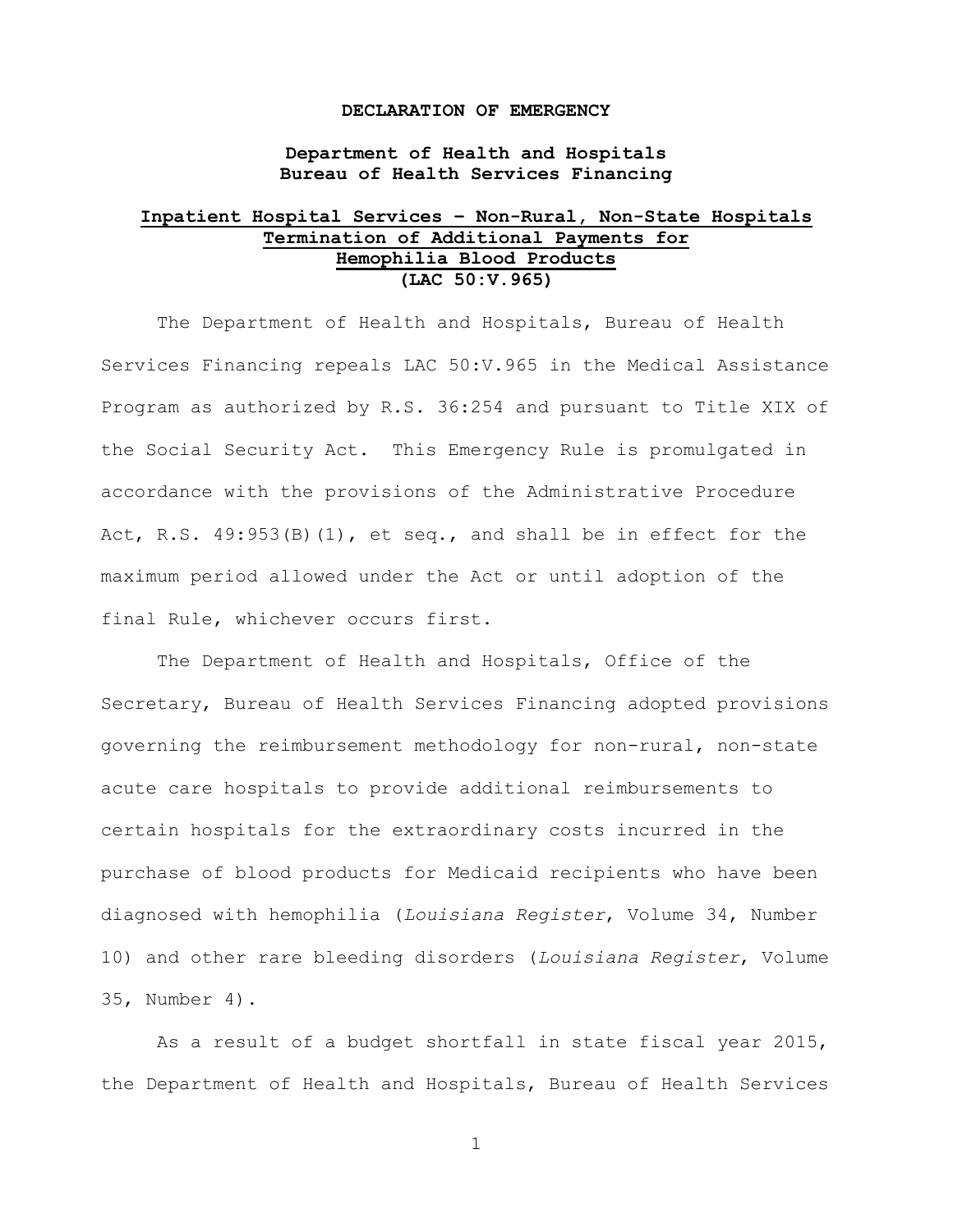#### **DECLARATION OF EMERGENCY**

**Department of Health and Hospitals Bureau of Health Services Financing**

# **Inpatient Hospital Services – Non-Rural, Non-State Hospitals Termination of Additional Payments for Hemophilia Blood Products (LAC 50:V.965)**

The Department of Health and Hospitals, Bureau of Health Services Financing repeals LAC 50:V.965 in the Medical Assistance Program as authorized by R.S. 36:254 and pursuant to Title XIX of the Social Security Act. This Emergency Rule is promulgated in accordance with the provisions of the Administrative Procedure Act, R.S.  $49:953(B)(1)$ , et seq., and shall be in effect for the maximum period allowed under the Act or until adoption of the final Rule, whichever occurs first.

The Department of Health and Hospitals, Office of the Secretary, Bureau of Health Services Financing adopted provisions governing the reimbursement methodology for non-rural, non-state acute care hospitals to provide additional reimbursements to certain hospitals for the extraordinary costs incurred in the purchase of blood products for Medicaid recipients who have been diagnosed with hemophilia (*Louisiana Register*, Volume 34, Number 10) and other rare bleeding disorders (*Louisiana Register*, Volume 35, Number 4).

As a result of a budget shortfall in state fiscal year 2015, the Department of Health and Hospitals, Bureau of Health Services

1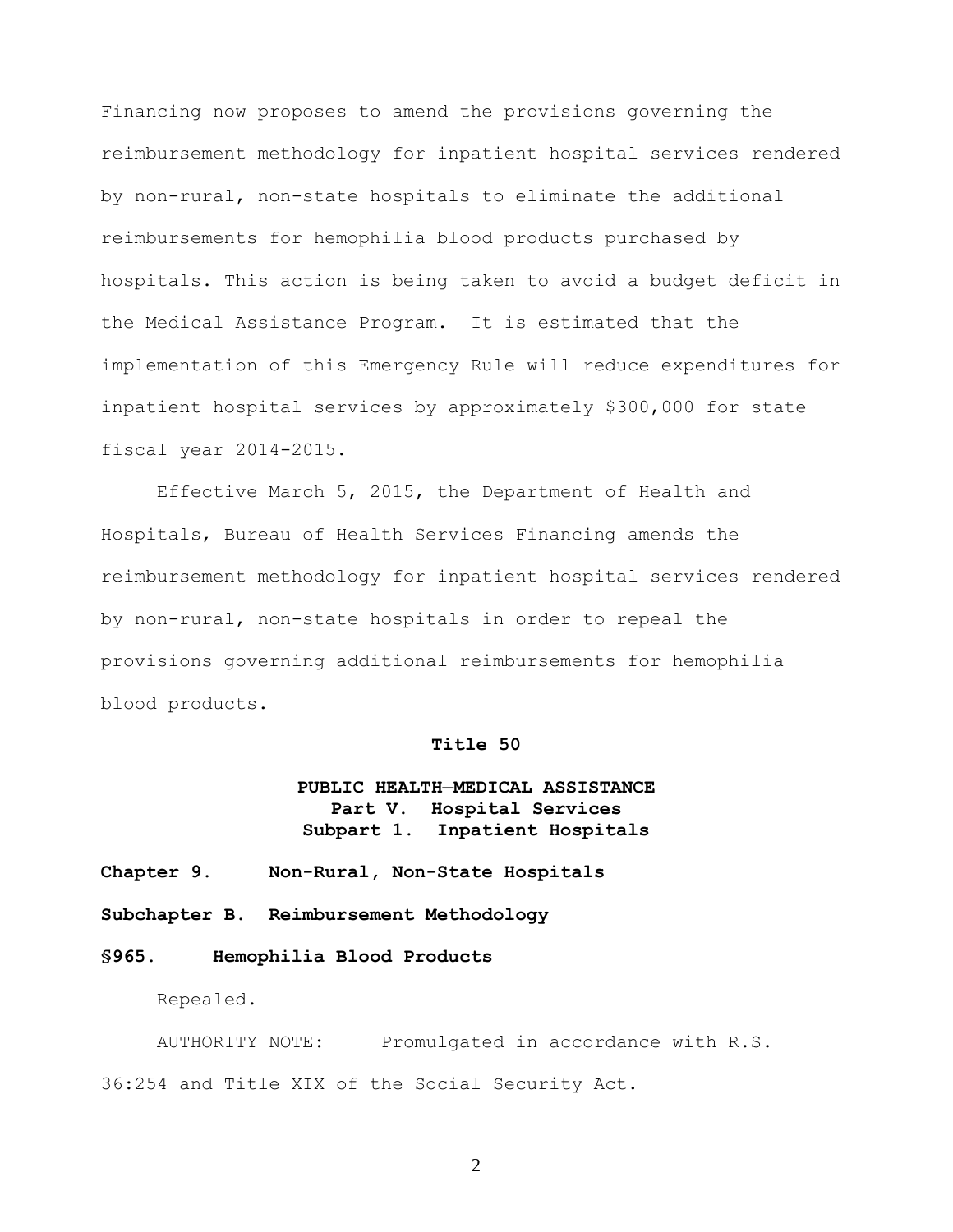Financing now proposes to amend the provisions governing the reimbursement methodology for inpatient hospital services rendered by non-rural, non-state hospitals to eliminate the additional reimbursements for hemophilia blood products purchased by hospitals. This action is being taken to avoid a budget deficit in the Medical Assistance Program. It is estimated that the implementation of this Emergency Rule will reduce expenditures for inpatient hospital services by approximately \$300,000 for state fiscal year 2014-2015.

Effective March 5, 2015, the Department of Health and Hospitals, Bureau of Health Services Financing amends the reimbursement methodology for inpatient hospital services rendered by non-rural, non-state hospitals in order to repeal the provisions governing additional reimbursements for hemophilia blood products.

### **Title 50**

## **PUBLIC HEALTH─MEDICAL ASSISTANCE Part V. Hospital Services Subpart 1. Inpatient Hospitals**

### **Chapter 9. Non-Rural, Non-State Hospitals**

**Subchapter B. Reimbursement Methodology**

### **§965. Hemophilia Blood Products**

Repealed.

AUTHORITY NOTE: Promulgated in accordance with R.S. 36:254 and Title XIX of the Social Security Act.

2